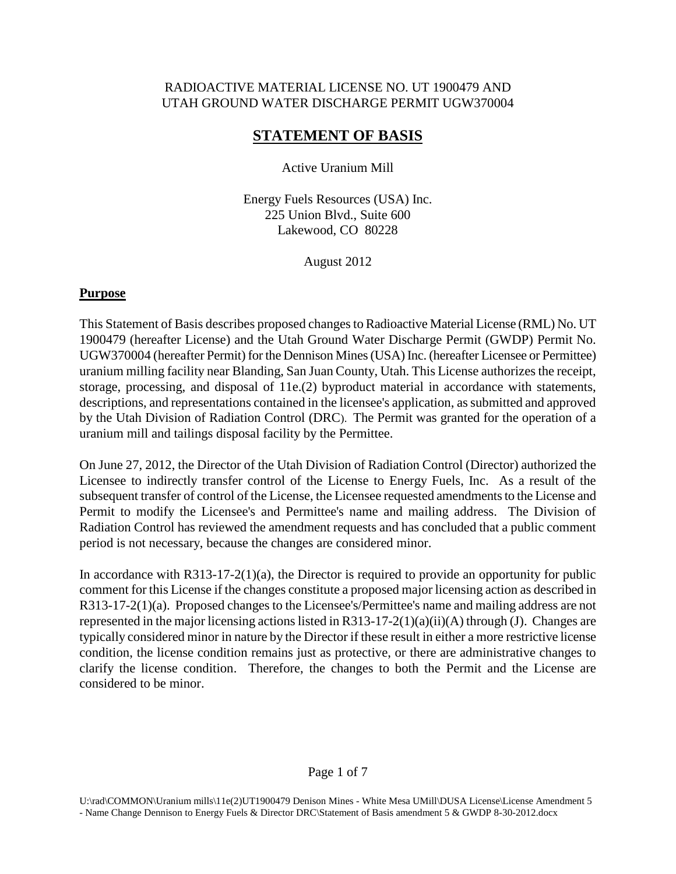# RADIOACTIVE MATERIAL LICENSE NO. UT 1900479 AND UTAH GROUND WATER DISCHARGE PERMIT UGW370004

# **STATEMENT OF BASIS**

Active Uranium Mill

Energy Fuels Resources (USA) Inc. 225 Union Blvd., Suite 600 Lakewood, CO 80228

August 2012

## **Purpose**

This Statement of Basis describes proposed changes to Radioactive Material License (RML) No. UT 1900479 (hereafter License) and the Utah Ground Water Discharge Permit (GWDP) Permit No. UGW370004 (hereafter Permit) for the Dennison Mines (USA) Inc. (hereafter Licensee or Permittee) uranium milling facility near Blanding, San Juan County, Utah. This License authorizes the receipt, storage, processing, and disposal of 11e.(2) byproduct material in accordance with statements, descriptions, and representations contained in the licensee's application, as submitted and approved by the Utah Division of Radiation Control (DRC). The Permit was granted for the operation of a uranium mill and tailings disposal facility by the Permittee.

On June 27, 2012, the Director of the Utah Division of Radiation Control (Director) authorized the Licensee to indirectly transfer control of the License to Energy Fuels, Inc. As a result of the subsequent transfer of control of the License, the Licensee requested amendments to the License and Permit to modify the Licensee's and Permittee's name and mailing address. The Division of Radiation Control has reviewed the amendment requests and has concluded that a public comment period is not necessary, because the changes are considered minor.

In accordance with R313-17-2(1)(a), the Director is required to provide an opportunity for public comment for this License if the changes constitute a proposed major licensing action as described in R313-17-2(1)(a). Proposed changes to the Licensee's/Permittee's name and mailing address are not represented in the major licensing actions listed in  $R313-17-2(1)(a)(ii)(A)$  through (J). Changes are typically considered minor in nature by the Director if these result in either a more restrictive license condition, the license condition remains just as protective, or there are administrative changes to clarify the license condition. Therefore, the changes to both the Permit and the License are considered to be minor.

### Page 1 of 7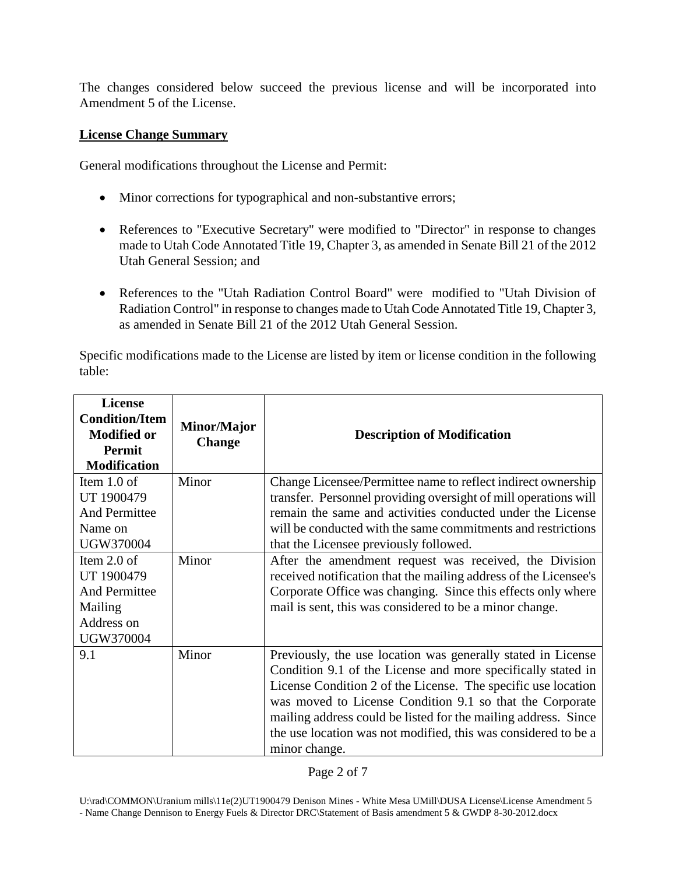The changes considered below succeed the previous license and will be incorporated into Amendment 5 of the License.

### **License Change Summary**

General modifications throughout the License and Permit:

- Minor corrections for typographical and non-substantive errors;
- References to "Executive Secretary" were modified to "Director" in response to changes made to Utah Code Annotated Title 19, Chapter 3, as amended in Senate Bill 21 of the 2012 Utah General Session; and
- References to the "Utah Radiation Control Board" were modified to "Utah Division of Radiation Control" in response to changes made to Utah Code Annotated Title 19, Chapter 3, as amended in Senate Bill 21 of the 2012 Utah General Session.

Specific modifications made to the License are listed by item or license condition in the following table:

| <b>License</b><br><b>Condition/Item</b><br><b>Modified or</b><br>Permit<br><b>Modification</b> | Minor/Major<br><b>Change</b> | <b>Description of Modification</b>                                                                                                                                                                                                                                                                                                                                                                             |
|------------------------------------------------------------------------------------------------|------------------------------|----------------------------------------------------------------------------------------------------------------------------------------------------------------------------------------------------------------------------------------------------------------------------------------------------------------------------------------------------------------------------------------------------------------|
| Item $1.0$ of<br>UT 1900479<br><b>And Permittee</b><br>Name on<br>UGW370004                    | Minor                        | Change Licensee/Permittee name to reflect indirect ownership<br>transfer. Personnel providing oversight of mill operations will<br>remain the same and activities conducted under the License<br>will be conducted with the same commitments and restrictions<br>that the Licensee previously followed.                                                                                                        |
| Item $2.0$ of<br>UT 1900479<br><b>And Permittee</b><br>Mailing<br>Address on<br>UGW370004      | Minor                        | After the amendment request was received, the Division<br>received notification that the mailing address of the Licensee's<br>Corporate Office was changing. Since this effects only where<br>mail is sent, this was considered to be a minor change.                                                                                                                                                          |
| 9.1                                                                                            | Minor                        | Previously, the use location was generally stated in License<br>Condition 9.1 of the License and more specifically stated in<br>License Condition 2 of the License. The specific use location<br>was moved to License Condition 9.1 so that the Corporate<br>mailing address could be listed for the mailing address. Since<br>the use location was not modified, this was considered to be a<br>minor change. |

U:\rad\COMMON\Uranium mills\11e(2)UT1900479 Denison Mines - White Mesa UMill\DUSA License\License Amendment 5 - Name Change Dennison to Energy Fuels & Director DRC\Statement of Basis amendment 5 & GWDP 8-30-2012.docx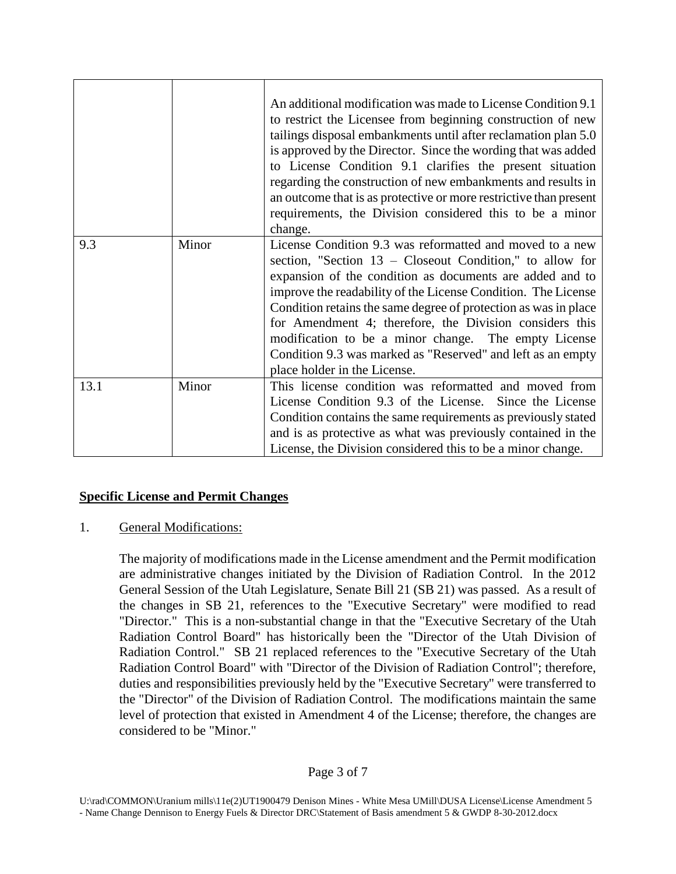|      |       | An additional modification was made to License Condition 9.1<br>to restrict the Licensee from beginning construction of new<br>tailings disposal embankments until after reclamation plan 5.0<br>is approved by the Director. Since the wording that was added<br>to License Condition 9.1 clarifies the present situation<br>regarding the construction of new embankments and results in<br>an outcome that is as protective or more restrictive than present<br>requirements, the Division considered this to be a minor<br>change.   |
|------|-------|------------------------------------------------------------------------------------------------------------------------------------------------------------------------------------------------------------------------------------------------------------------------------------------------------------------------------------------------------------------------------------------------------------------------------------------------------------------------------------------------------------------------------------------|
| 9.3  | Minor | License Condition 9.3 was reformatted and moved to a new<br>section, "Section $13$ – Closeout Condition," to allow for<br>expansion of the condition as documents are added and to<br>improve the readability of the License Condition. The License<br>Condition retains the same degree of protection as was in place<br>for Amendment 4; therefore, the Division considers this<br>modification to be a minor change. The empty License<br>Condition 9.3 was marked as "Reserved" and left as an empty<br>place holder in the License. |
| 13.1 | Minor | This license condition was reformatted and moved from<br>License Condition 9.3 of the License. Since the License<br>Condition contains the same requirements as previously stated<br>and is as protective as what was previously contained in the<br>License, the Division considered this to be a minor change.                                                                                                                                                                                                                         |

# **Specific License and Permit Changes**

### 1. General Modifications:

The majority of modifications made in the License amendment and the Permit modification are administrative changes initiated by the Division of Radiation Control. In the 2012 General Session of the Utah Legislature, Senate Bill 21 (SB 21) was passed. As a result of the changes in SB 21, references to the "Executive Secretary" were modified to read "Director." This is a non-substantial change in that the "Executive Secretary of the Utah Radiation Control Board" has historically been the "Director of the Utah Division of Radiation Control." SB 21 replaced references to the "Executive Secretary of the Utah Radiation Control Board" with "Director of the Division of Radiation Control"; therefore, duties and responsibilities previously held by the "Executive Secretary" were transferred to the "Director" of the Division of Radiation Control. The modifications maintain the same level of protection that existed in Amendment 4 of the License; therefore, the changes are considered to be "Minor."

U:\rad\COMMON\Uranium mills\11e(2)UT1900479 Denison Mines - White Mesa UMill\DUSA License\License Amendment 5 - Name Change Dennison to Energy Fuels & Director DRC\Statement of Basis amendment 5 & GWDP 8-30-2012.docx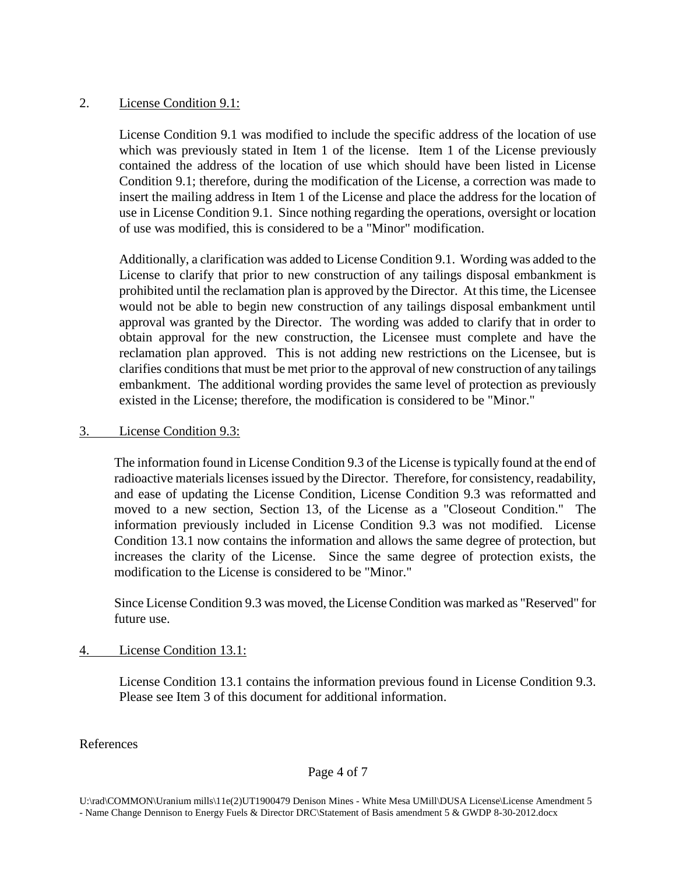## 2. License Condition 9.1:

License Condition 9.1 was modified to include the specific address of the location of use which was previously stated in Item 1 of the license. Item 1 of the License previously contained the address of the location of use which should have been listed in License Condition 9.1; therefore, during the modification of the License, a correction was made to insert the mailing address in Item 1 of the License and place the address for the location of use in License Condition 9.1. Since nothing regarding the operations, oversight or location of use was modified, this is considered to be a "Minor" modification.

Additionally, a clarification was added to License Condition 9.1. Wording was added to the License to clarify that prior to new construction of any tailings disposal embankment is prohibited until the reclamation plan is approved by the Director. At this time, the Licensee would not be able to begin new construction of any tailings disposal embankment until approval was granted by the Director. The wording was added to clarify that in order to obtain approval for the new construction, the Licensee must complete and have the reclamation plan approved. This is not adding new restrictions on the Licensee, but is clarifies conditions that must be met prior to the approval of new construction of any tailings embankment. The additional wording provides the same level of protection as previously existed in the License; therefore, the modification is considered to be "Minor."

## 3. License Condition 9.3:

The information found in License Condition 9.3 of the License is typically found at the end of radioactive materials licenses issued by the Director. Therefore, for consistency, readability, and ease of updating the License Condition, License Condition 9.3 was reformatted and moved to a new section, Section 13, of the License as a "Closeout Condition." The information previously included in License Condition 9.3 was not modified. License Condition 13.1 now contains the information and allows the same degree of protection, but increases the clarity of the License. Since the same degree of protection exists, the modification to the License is considered to be "Minor."

Since License Condition 9.3 was moved, the License Condition was marked as "Reserved" for future use.

4. License Condition 13.1:

License Condition 13.1 contains the information previous found in License Condition 9.3. Please see Item 3 of this document for additional information.

References

### Page 4 of 7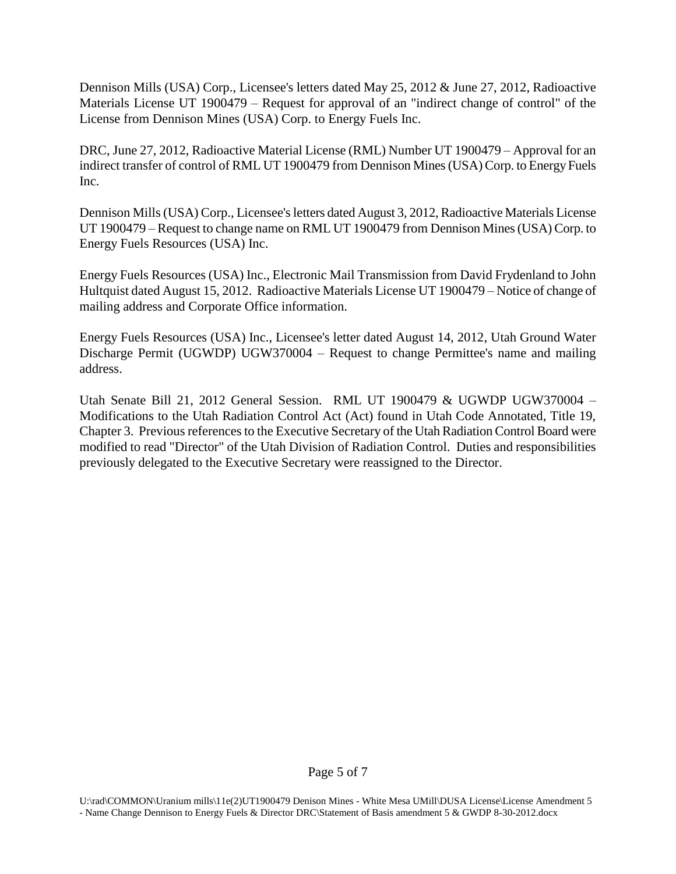Dennison Mills (USA) Corp., Licensee's letters dated May 25, 2012 & June 27, 2012, Radioactive Materials License UT 1900479 – Request for approval of an "indirect change of control" of the License from Dennison Mines (USA) Corp. to Energy Fuels Inc.

DRC, June 27, 2012, Radioactive Material License (RML) Number UT 1900479 – Approval for an indirect transfer of control of RML UT 1900479 from Dennison Mines (USA) Corp. to Energy Fuels Inc.

Dennison Mills (USA) Corp., Licensee's letters dated August 3, 2012, Radioactive Materials License UT 1900479 – Request to change name on RML UT 1900479 from Dennison Mines (USA) Corp. to Energy Fuels Resources (USA) Inc.

Energy Fuels Resources (USA) Inc., Electronic Mail Transmission from David Frydenland to John Hultquist dated August 15, 2012. Radioactive Materials License UT 1900479 – Notice of change of mailing address and Corporate Office information.

Energy Fuels Resources (USA) Inc., Licensee's letter dated August 14, 2012, Utah Ground Water Discharge Permit (UGWDP) UGW370004 – Request to change Permittee's name and mailing address.

Utah Senate Bill 21, 2012 General Session. RML UT 1900479 & UGWDP UGW370004 – Modifications to the Utah Radiation Control Act (Act) found in Utah Code Annotated, Title 19, Chapter 3. Previous references to the Executive Secretary of the Utah Radiation Control Board were modified to read "Director" of the Utah Division of Radiation Control. Duties and responsibilities previously delegated to the Executive Secretary were reassigned to the Director.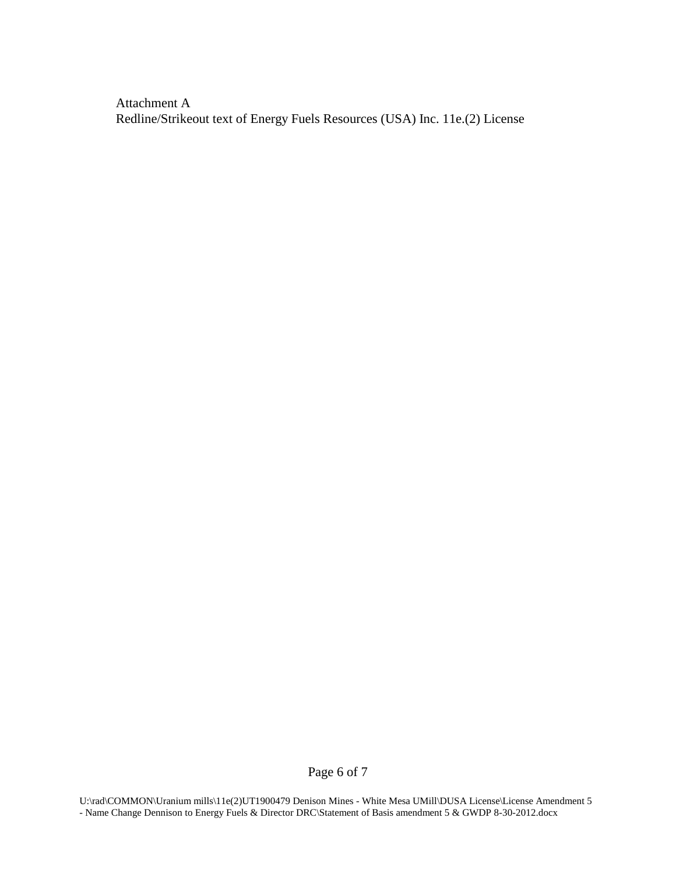Attachment A Redline/Strikeout text of Energy Fuels Resources (USA) Inc. 11e.(2) License

Page 6 of 7